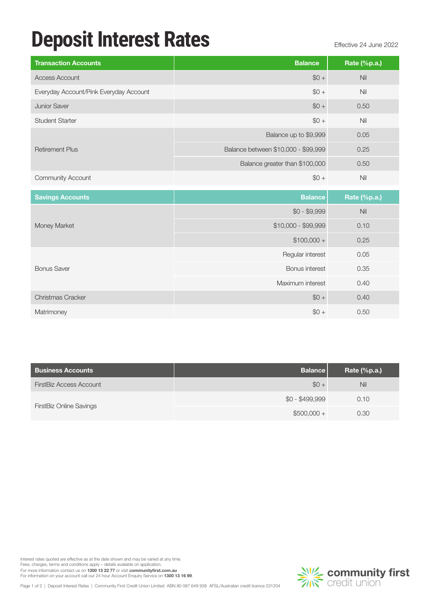## **Deposit Interest Rates** Effective 24 June 2022

| <b>Transaction Accounts</b>            | <b>Balance</b>                      | Rate (%p.a.)    |
|----------------------------------------|-------------------------------------|-----------------|
| Access Account                         | $$0 +$                              | Nil             |
| Everyday Account/Pink Everyday Account | $$0 +$                              | Nil             |
| <b>Junior Saver</b>                    | $$0 +$                              | 0.50            |
| <b>Student Starter</b>                 | $$0 +$                              | Nil             |
|                                        | Balance up to \$9,999               | 0.05            |
| <b>Retirement Plus</b>                 | Balance between \$10,000 - \$99,999 | 0.25            |
|                                        | Balance greater than \$100,000      | 0.50            |
| <b>Community Account</b>               | $$0 +$                              | Nil             |
| <b>Savings Accounts</b>                | <b>Balance</b>                      | Rate $(\%p.a.)$ |

| <b>Dalafice</b>     | $\mathsf{name}$ (70 $\mathsf{pa}$ .) |
|---------------------|--------------------------------------|
| $$0 - $9,999$       | Nil                                  |
| \$10,000 - \$99,999 | 0.10                                 |
| $$100,000 +$        | 0.25                                 |
| Regular interest    | 0.05                                 |
| Bonus interest      | 0.35                                 |
| Maximum interest    | 0.40                                 |
| $$0 +$              | 0.40                                 |
| $$0 +$              | 0.50                                 |
|                     |                                      |

| <b>Business Accounts</b>       | <b>Balance</b>  | Rate $(\%p.a.)$ |
|--------------------------------|-----------------|-----------------|
| FirstBiz Access Account        | $$0 +$          | <b>Nil</b>      |
|                                | $$0 - $499,999$ | 0.10            |
| <b>FirstBiz Online Savings</b> | $$500,000 +$    | 0.30            |

Interest rates quoted are effective as at the date shown and may be varied at any time. Fees, charges, terms and conditions apply – details available on application.

For more information contact us on **1300 13 22 77** or visit **communityfirst.com.au**<br>For information on your account call our 24 hour Account Enquiry Service on **1300 13 16 99**.

Page 1 of 2 | Deposit Interest Rates | Community First Credit Union Limited ABN 80 087 649 938 AFSL/Australian credit licence 231204